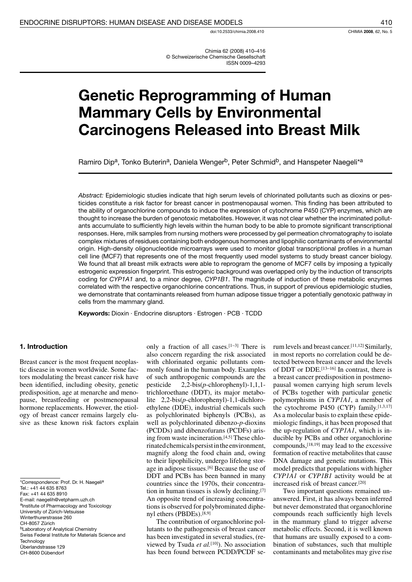doi:10.2533/chimia.2008.410

Chimia 62 (2008) 410-416 © Schweizerische Chemische Gesellschaft **ISSN 0009-4293** 

# **Genetic Reprogramming of Human Mammary Cells by Environmental Carcinogens Released into Breast Milk**

Ramiro Dip<sup>a</sup>, Tonko Buterin<sup>a</sup>, Daniela Wenger<sup>b</sup>, Peter Schmid<sup>b</sup>, and Hanspeter Naegeli<sup>\*a</sup>

Abstract: Epidemiologic studies indicate that high serum levels of chlorinated pollutants such as dioxins or pesticides constitute a risk factor for breast cancer in postmenopausal women. This finding has been attributed to the ability of organochlorine compounds to induce the expression of cytochrome P450 (CYP) enzymes, which are thought to increase the burden of genotoxic metabolites. However, it was not clear whether the incriminated pollutants accumulate to sufficiently high levels within the human body to be able to promote significant transcriptional responses. Here, milk samples from nursing mothers were processed by gel permeation chromatography to isolate complex mixtures of residues containing both endogenous hormones and lipophilic contaminants of environmental origin. High-density oligonucleotide microarrays were used to monitor global transcriptional profiles in a human cell line (MCF7) that represents one of the most frequently used model systems to study breast cancer biology. We found that all breast milk extracts were able to reprogram the genome of MCF7 cells by imposing a typically estrogenic expression fingerprint. This estrogenic background was overlapped only by the induction of transcripts coding for CYP1A1 and, to a minor degree, CYP1B1. The magnitude of induction of these metabolic enzymes correlated with the respective organochlorine concentrations. Thus, in support of previous epidemiologic studies, we demonstrate that contaminants released from human adipose tissue trigger a potentially genotoxic pathway in cells from the mammary gland.

Keywords: Dioxin · Endocrine disruptors · Estrogen · PCB · TCDD

## 1. Introduction

Breast cancer is the most frequent neoplastic disease in women worldwide. Some factors modulating the breast cancer risk have been identified, including obesity, genetic predisposition, age at menarche and menopause, breastfeeding or postmenopausal hormone replacements. However, the etiology of breast cancer remains largely elusive as these known risk factors explain

\*Correspondence: Prof. Dr. H. Naegeli<sup>a</sup> Tel.: +41 44 635 8763 Fax: +41 44 635 8910 E-mail: naegelih@vetpharm.uzh.ch <sup>a</sup>Institute of Pharmacology and Toxicology University of Zürich-Vetsuisse Winterthurerstrasse 260 CH-8057 Zürich <sup>b</sup>Laboratory of Analytical Chemistry Swiss Federal Institute for Materials Science and Technology Überlandstrasse 129 CH-8600 Dübendorf

only a fraction of all cases.  $[1-3]$  There is also concern regarding the risk associated with chlorinated organic pollutants commonly found in the human body. Examples of such anthropogenic compounds are the pesticide  $2,2-bis(p-chlorophenyl)-1,1,1$ trichloroethane (DDT), its major metabolite  $2,2-bis(p-chlorophenyl)-1,1-dichloro$ ethylene (DDE), industrial chemicals such as polychlorinated biphenyls (PCBs), as well as polychlorinated dibenzo-p-dioxins (PCDDs) and dibenzofurans (PCDFs) arising from waste incineration.<sup>[4,5]</sup> These chlorinated chemicals persist in the environment, magnify along the food chain and, owing to their lipophilicity, undergo lifelong storage in adipose tissues.<sup>[6]</sup> Because the use of DDT and PCBs has been banned in many countries since the 1970s, their concentration in human tissues is slowly declining.[7] An opposite trend of increasing concentrations is observed for polybrominated diphenyl ethers (PBDEs).[8,9]

The contribution of organochlorine pollutants to the pathogenesis of breast cancer has been investigated in several studies, (reviewed by Tsuda et al.<sup>[10]</sup>). No association has been found between PCDD/PCDF serum levels and breast cancer.<sup>[11,12]</sup> Similarly, in most reports no correlation could be detected between breast cancer and the levels of DDT or DDE.<sup>[13-16]</sup> In contrast, there is a breast cancer predisposition in postmenopausal women carrying high serum levels of PCBs together with particular genetic polymorphisms in CYP1A1, a member of the cytochrome P450 (CYP) family.<sup>[1,3,17]</sup> As a molecular basis to explain these epidemiologic findings, it has been proposed that the up-regulation of CYP1A1, which is inducible by PCBs and other organochlorine compounds, [18,19] may lead to the excessive formation of reactive metabolites that cause DNA damage and genetic mutations. This model predicts that populations with higher CYP1A1 or CYP1B1 activity would be at increased risk of breast cancer.[20]

Two important questions remained unanswered. First, it has always been inferred but never demonstrated that organochlorine compounds reach sufficiently high levels in the mammary gland to trigger adverse metabolic effects. Second, it is well known that humans are usually exposed to a combination of substances, such that multiple contaminants and metabolites may give rise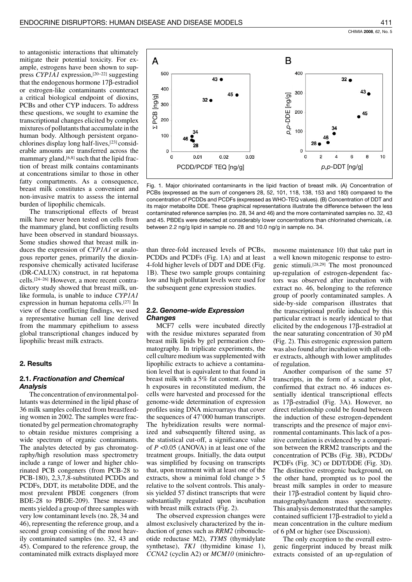to antagonistic interactions that ultimately mitigate their potential toxicity. For example, estrogens have been shown to suppress  $CYPIA1$  expression, [20–22] suggesting that the endogenous hormone  $17\beta$ -estradiol or estrogen-like contaminants counteract a critical biological endpoint of dioxins, PCBs and other CYP inducers. To address these questions, we sought to examine the transcriptional changes elicited by complex mixtures of pollutants that accumulate in the human body. Although persistent organochlorines display long half-lives, [23] considerable amounts are transferred across the mammary gland, [6,8] such that the lipid fraction of breast milk contains contaminants at concentrations similar to those in other fatty compartments. As a consequence, breast milk constitutes a convenient and non-invasive matrix to assess the internal burden of lipophilic chemicals.

The transcriptional effects of breast milk have never been tested on cells from the mammary gland, but conflicting results have been observed in standard bioassays. Some studies showed that breast milk induces the expression of *CYPIA1* or analogous reporter genes, primarily the dioxinresponsive chemically activated luciferase (DR-CALUX) construct, in rat hepatoma cells.<sup>[24-26]</sup> However, a more recent contradictory study showed that breast milk, unlike formula, is unable to induce CYPIA1 expression in human hepatoma cells.[27] In view of these conflicting findings, we used a representative human cell line derived from the mammary epithelium to assess global transcriptional changes induced by lipophilic breast milk extracts.

## 2. Results

# 2.1. Fractionation and Chemical **Analysis**

The concentration of environmental pollutants was determined in the lipid phase of 36 milk samples collected from breastfeeding women in 2002. The samples were fractionated by gel permeation chromatography to obtain residue mixtures comprising a wide spectrum of organic contaminants. The analytes detected by gas chromatography/high resolution mass spectrometry include a range of lower and higher chlorinated PCB congeners (from PCB-28 to PCB-180), 2,3,7,8-substituted PCDDs and PCDFs, DDT, its metabolite DDE, and the most prevalent PBDE congeners (from BDE-28 to PBDE-209). These measurements yielded a group of three samples with very low contaminant levels (no. 28, 34 and 46), representing the reference group, and a second group consisting of the most heavily contaminated samples (no. 32, 43 and 45). Compared to the reference group, the contaminated milk extracts displayed more



Fig. 1. Major chlorinated contaminants in the lipid fraction of breast milk. (A) Concentration of PCBs (expressed as the sum of congeners 28, 52, 101, 118, 138, 153 and 180) compared to the concentration of PCDDs and PCDFs (expressed as WHO-TEQ values). (B) Concentration of DDT and its major metabolite DDE. These graphical representations illustrate the difference between the less contaminated reference samples (no. 28, 34 and 46) and the more contaminated samples no. 32, 43 and 45. PBDEs were detected at considerably lower concentrations than chlorinated chemicals, i.e. between 2.2 ng/g lipid in sample no. 28 and 10.0 ng/g in sample no. 34.

than three-fold increased levels of PCBs, PCDDs and PCDFs (Fig. 1A) and at least 4-fold higher levels of DDT and DDE (Fig. 1B). These two sample groups containing low and high pollutant levels were used for the subsequent gene expression studies.

## **2.2. Genome-wide Expression Changes**

MCF7 cells were incubated directly with the residue mixtures separated from breast milk lipids by gel permeation chromatography. In triplicate experiments, the cell culture medium was supplemented with lipophilic extracts to achieve a contamination level that is equivalent to that found in breast milk with a 5% fat content. After 24 h exposures in reconstituted medium, the cells were harvested and processed for the genome-wide determination of expression profiles using DNA microarrays that cover the sequences of 47'000 human transcripts. The hybridization results were normalized and subsequently filtered using, as the statistical cut-off, a significance value of  $P \le 0.05$  (ANOVA) in at least one of the treatment groups. Initially, the data output was simplified by focusing on transcripts that, upon treatment with at least one of the extracts, show a minimal fold change  $> 5$ relative to the solvent controls. This analysis yielded 57 distinct transcripts that were substantially regulated upon incubation with breast milk extracts (Fig. 2).

The observed expression changes were almost exclusively characterized by the induction of genes such as *RRM2* (ribonucleotide reductase M2), TYMS (thymidylate synthetase), TK1 (thymidine kinase 1), CCNA2 (cyclin A2) or *MCM10* (minichromosome maintenance 10) that take part in a well known mitogenic response to estrogenic stimuli.<sup>[28,29]</sup> The most pronounced up-regulation of estrogen-dependent factors was observed after incubation with extract no. 46, belonging to the reference group of poorly contaminated samples. A side-by-side comparison illustrates that the transcriptional profile induced by this particular extract is nearly identical to that elicited by the endogenous  $17\beta$ -estradiol at the near saturating concentration of 30 pM (Fig. 2). This estrogenic expression pattern was also found after incubation with all other extracts, although with lower amplitudes of regulation.

Another comparison of the same 57 transcripts, in the form of a scatter plot, confirmed that extract no. 46 induces essentially identical transcriptional effects as  $17\beta$ -estradiol (Fig. 3A). However, no direct relationship could be found between the induction of these estrogen-dependent transcripts and the presence of major environmental contaminants. This lack of a positive correlation is evidenced by a comparison between the RRM2 transcripts and the concentration of PCBs (Fig. 3B), PCDDs/ PCDFs (Fig. 3C) or DDT/DDE (Fig. 3D). The distinctive estrogenic background, on the other hand, prompted us to pool the breast milk samples in order to measure their  $17\beta$ -estradiol content by liquid chromatography/tandem mass spectrometry. This analysis demonstrated that the samples contained sufficient  $17\beta$ -estradiol to yield a mean concentration in the culture medium of 6 pM or higher (see Discussion).

The only exception to the overall estrogenic fingerprint induced by breast milk extracts consisted of an up-regulation of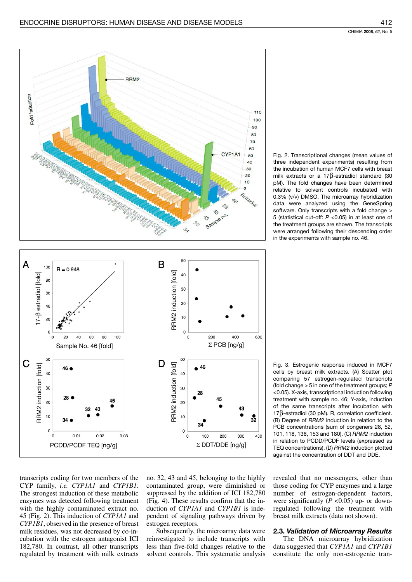

Fig. 2. Transcriptional changes (mean values of three independent experiments) resulting from the incubation of human MCF7 cells with breast milk extracts or a 17 $\beta$ -estradiol standard (30 pM). The fold changes have been determined relative to solvent controls incubated with 0.3% (v/v) DMSO. The microarray hybridization data were analyzed using the GeneSpring software. Only transcripts with a fold change > 5 (statistical cut-off:  $P$  <0.05) in at least one of the treatment groups are shown. The transcripts were arranged following their descending order in the experiments with sample no. 46.

Fig. 3. Estrogenic response induced in MCF7 cells by breast milk extracts. (A) Scatter plot comparing 57 estrogen-regulated transcripts (fold change  $>$  5 in one of the treatment groups;  $P$ <0.05). X-axis, transcriptional induction following treatment with sample no. 46; Y-axis, induction of the same transcripts after incubation with  $17\beta$ -estradiol (30 pM). R, correlation coefficient. (B) Degree of RRM2 induction in relation to the PCB concentrations (sum of congeners 28, 52, 101, 118, 138, 153 and 180). (C) RRM2 induction in relation to PCDD/PCDF levels (expressed as TEQ concentrations). (D) RRM2 induction plotted against the concentration of DDT and DDE.

transcripts coding for two members of the CYP family, i.e. CYP1A1 and CYP1B1. The strongest induction of these metabolic enzymes was detected following treatment with the highly contaminated extract no. 45 (Fig. 2). This induction of *CYPIA1* and CYP1B1, observed in the presence of breast milk residues, was not decreased by co-incubation with the estrogen antagonist ICI 182,780. In contrast, all other transcripts regulated by treatment with milk extracts

no. 32, 43 and 45, belonging to the highly contaminated group, were diminished or suppressed by the addition of ICI 182,780 (Fig. 4). These results confirm that the induction of CYP1A1 and CYP1B1 is independent of signaling pathways driven by estrogen receptors.

Subsequently, the microarray data were reinvestigated to include transcripts with less than five-fold changes relative to the solvent controls. This systematic analysis revealed that no messengers, other than those coding for CYP enzymes and a large number of estrogen-dependent factors, were significantly ( $P < 0.05$ ) up- or downregulated following the treatment with breast milk extracts (data not shown).

# 2.3. Validation of Microarray Results

The DNA microarray hybridization data suggested that CYP1A1 and CYP1B1 constitute the only non-estrogenic tran-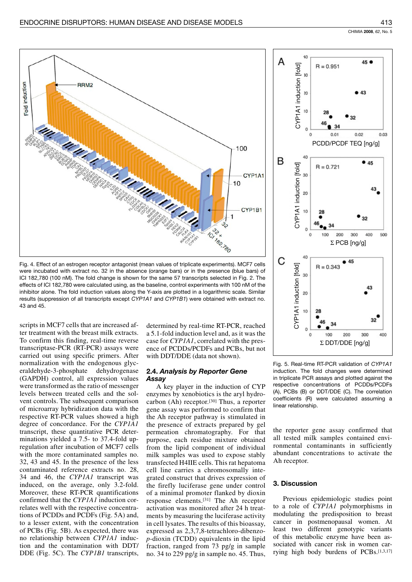

Fig. 4. Effect of an estrogen receptor antagonist (mean values of triplicate experiments). MCF7 cells were incubated with extract no. 32 in the absence (orange bars) or in the presence (blue bars) of ICI 182,780 (100 nM). The fold change is shown for the same 57 transcripts selected in Fig. 2. The effects of ICI 182,780 were calculated using, as the baseline, control experiments with 100 nM of the inhibitor alone. The fold induction values along the Y-axis are plotted in a logarithmic scale. Similar results (suppression of all transcripts except CYP1A1 and CYP1B1) were obtained with extract no. 43 and 45.

scripts in MCF7 cells that are increased after treatment with the breast milk extracts. To confirm this finding, real-time reverse transcriptase-PCR (RT-PCR) assays were carried out using specific primers. After normalization with the endogenous glyceraldehyde-3-phosphate dehydrogenase (GAPDH) control, all expression values were transformed as the ratio of messenger levels between treated cells and the solvent controls. The subsequent comparison of microarray hybridization data with the respective RT-PCR values showed a high degree of concordance. For the CYP1A1 transcript, these quantitative PCR determinations yielded a 7.5- to 37.4-fold upregulation after incubation of MCF7 cells with the more contaminated samples no. 32, 43 and 45. In the presence of the less contaminated reference extracts no. 28, 34 and 46, the CYP1A1 transcript was induced, on the average, only 3.2-fold. Moreover, these RT-PCR quantifications confirmed that the CYP1A1 induction correlates well with the respective concentrations of PCDDs and PCDFs (Fig. 5A) and, to a lesser extent, with the concentration of PCBs (Fig. 5B). As expected, there was no relationship between CYP1A1 induction and the contamination with DDT/ DDE (Fig. 5C). The CYP1B1 transcripts,

determined by real-time RT-PCR, reached a 5.1-fold induction level and, as it was the case for CYP1A1, correlated with the presence of PCDDs/PCDFs and PCBs, but not with DDT/DDE (data not shown).

## 2.4. Analysis by Reporter Gene Assay

A key player in the induction of CYP enzymes by xenobiotics is the aryl hydrocarbon (Ah) receptor. $[30]$  Thus, a reporter gene assay was performed to confirm that the Ah receptor pathway is stimulated in the presence of extracts prepared by gel permeation chromatography. For that purpose, each residue mixture obtained from the lipid component of individual milk samples was used to expose stably transfected H4IIE cells. This rat hepatoma cell line carries a chromosomally integrated construct that drives expression of the firefly luciferase gene under control of a minimal promoter flanked by dioxin response elements.<sup>[31]</sup> The Ah receptor activation was monitored after 24 h treatments by measuring the luciferase activity in cell lysates. The results of this bioassay, expressed as 2,3,7,8-tetrachloro-dibenzo $p$ -dioxin (TCDD) equivalents in the lipid fraction, ranged from 73 pg/g in sample no. 34 to 229 pg/g in sample no. 45. Thus,



Fig. 5. Real-time RT-PCR validation of CYP1A1 induction. The fold changes were determined in triplicate PCR assays and plotted against the respective concentrations of PCDDs/PCDFs (A), PCBs (B) or DDT/DDE (C). The correlation coefficients (R) were calculated assuming a linear relationship.

the reporter gene assay confirmed that all tested milk samples contained environmental contaminants in sufficiently abundant concentrations to activate the Ah receptor.

# 3. Discussion

Previous epidemiologic studies point to a role of CYP1A1 polymorphisms in modulating the predisposition to breast cancer in postmenopausal women. At least two different genotypic variants of this metabolic enzyme have been associated with cancer risk in women carrying high body burdens of PCBs.[1,3,17]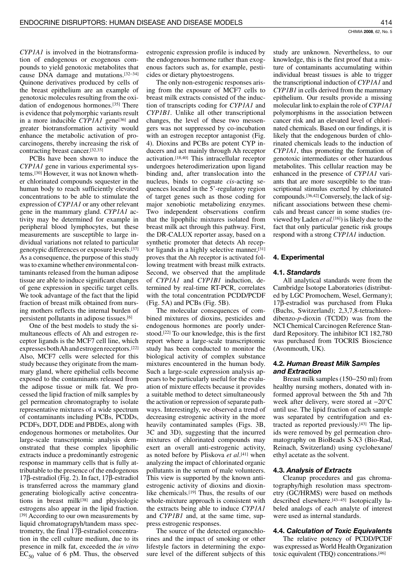CYPIAI is involved in the biotransformation of endogenous or exogenous compounds to yield genotoxic metabolites that cause DNA damage and mutations.<sup>[32-34]</sup> Quinone derivatives produced by cells of the breast epithelium are an example of genotoxic molecules resulting from the oxidation of endogenous hormones.<sup>[35]</sup> There is evidence that polymorphic variants result in a more inducible CYP1A1 gene<sup>[36]</sup> and greater biotransformation activity would enhance the metabolic activation of procarcinogens, thereby increasing the risk of contracting breast cancer.[32,33]

PCBs have been shown to induce the CYP1A1 gene in various experimental systems.[30] However, it was not known whether chlorinated compounds sequester in the human body to reach sufficiently elevated concentrations to be able to stimulate the expression of CYP1A1 or any other relevant gene in the mammary gland. CYP1A1 activity may be determined for example in peripheral blood lymphocytes, but these measurements are susceptible to large individual variations not related to particular genotypic differences or exposure levels.[37] As a consequence, the purpose of this study was to examine whether environmental contaminants released from the human adipose tissue are able to induce significant changes of gene expression in specific target cells. We took advantage of the fact that the lipid fraction of breast milk obtained from nursing mothers reflects the internal burden of persistent pollutants in adipose tissues.[6]

One of the best models to study the simultaneous effects of Ah and estrogen receptor ligands is the MCF7 cell line, which expresses both Ah and estrogen receptors.<sup>[22]</sup> Also, MCF7 cells were selected for this study because they originate from the mammary gland, where epithelial cells become exposed to the contaminants released from the adipose tissue or milk fat. We processed the lipid fraction of milk samples by gel permeation chromatography to isolate representative mixtures of a wide spectrum of contaminants including PCBs, PCDDs, PCDFs, DDT, DDE and PBDEs, along with endogenous hormones or metabolites. Our large-scale transcriptomic analysis demonstrated that these complex lipophilic extracts induce a predominantly estrogenic response in mammary cells that is fully attributable to the presence of the endogenous  $17\beta$ -estradiol (Fig. 2). In fact,  $17\beta$ -estradiol is transferred across the mammary gland generating biologically active concentrations in breast milk<sup>[38]</sup> and physiologic estrogens also appear in the lipid fraction. [39] According to our own measurements by liquid chromatograpyh/tandem mass spectrometry, the final  $17\beta$ -estradiol concentration in the cell culture medium, due to its presence in milk fat, exceeded the *in vitro*  $EC_{50}$  value of 6 pM. Thus, the observed

estrogenic expression profile is induced by the endogenous hormone rather than exogenous factors such as, for example, pesticides or dietary phytoestrogens.

The only non-estrogenic responses arising from the exposure of MCF7 cells to breast milk extracts consisted of the induction of transcripts coding for CYP1A1 and CYP1B1. Unlike all other transcriptional changes, the level of these two messengers was not suppressed by co-incubation with an estrogen receptor antagonist (Fig. 4). Dioxins and PCBs are potent CYP inducers and act mainly through Ah receptor activation.[18,40] This intracellular receptor undergoes heterodimerization upon ligand binding and, after translocation into the nucleus, binds to cognate cis-acting sequences located in the 5'-regulatory region of target genes such as those coding for major xenobiotic metabolizing enzymes. Two independent observations confirm that the lipophilic mixtures isolated from breast milk act through this pathway. First, the DR-CALUX reporter assay, based on a synthetic promoter that detects Ah receptor ligands in a highly selective manner, [31] proves that the Ah receptor is activated following treatment with breast milk extracts. Second, we observed that the amplitude of CYPIA1 and CYPIB1 induction, determined by real-time RT-PCR, correlates with the total concentration PCDD/PCDF (Fig. 5A) and PCBs (Fig. 5B).

The molecular consequences of combined mixtures of dioxins, pesticides and endogenous hormones are poorly understood.<sup>[22]</sup> To our knowledge, this is the first report where a large-scale transcriptomic study has been conducted to monitor the biological activity of complex substance mixtures encountered in the human body. Such a large-scale expression analysis appears to be particularly useful for the evaluation of mixture effects because it provides a suitable method to detect simultaneously the activation or repression of separate pathways. Interestingly, we observed a trend of decreasing estrogenic activity in the more heavily contaminated samples (Figs. 3B, 3C and 3D), suggesting that the incurred mixtures of chlorinated compounds may exert an overall anti-estrogenic activity, as noted before by Pliskova et al.[41] when analyzing the impact of chlorinated organic pollutants in the serum of male volunteers. This view is supported by the known antiestrogenic activity of dioxins and dioxinlike chemicals.<sup>[19]</sup> Thus, the results of our whole-mixture approach is consistent with the extracts being able to induce CYPIA1 and *CYP1B1* and, at the same time, suppress estrogenic responses.

The source of the detected organochlorines and the impact of smoking or other lifestyle factors in determining the exposure level of the different subjects of this

study are unknown. Nevertheless, to our knowledge, this is the first proof that a mixture of contaminants accumulating within individual breast tissues is able to trigger the transcriptional induction of CYP1A1 and *CYP1B1* in cells derived from the mammary epithelium. Our results provide a missing molecular link to explain the role of CYP1A1 polymorphisms in the association between cancer risk and an elevated level of chlorinated chemicals. Based on our findings, it is likely that the endogenous burden of chlorinated chemicals leads to the induction of CYP1A1, thus promoting the formation of genotoxic intermediates or other hazardous metabolites. This cellular reaction may be enhanced in the presence of CYP1A1 variants that are more susceptible to the transcriptional stimulus exerted by chlorinated compounds.<sup>[36,42]</sup> Conversely, the lack of significant associations between these chemicals and breast cancer in some studies (reviewed by Laden et al.<sup>[16]</sup>) is likely due to the fact that only particular genetic risk groups respond with a strong CYP1A1 induction.

## 4. Experimental

#### 4.1. Standards

All analytical standards were from the Cambridge Isotope Laboratories (distributed by LGC Promochem, Wesel, Germany);  $17\beta$ -estradiol was purchased from Fluka (Buchs, Switzerland); 2,3,7,8-tetrachlorodibenzo- $p$ -dioxin (TCDD) was from the NCI Chemical Carcinogen Reference Standard Repository. The inhibitor ICI 182,780 was purchased from TOCRIS Bioscience (Avonmouth, UK).

## 4.2. Human Breast Milk Samples and Extraction

Breast milk samples (150–250 ml) from healthy nursing mothers, donated with informed approval between the 5th and 7th week after delivery, were stored at  $-20^{\circ}$ C until use. The lipid fraction of each sample was separated by centrifugation and extracted as reported previously.<sup>[43]</sup> The lipids were removed by gel permeation chromatography on BioBeads S-X3 (Bio-Rad, Reinach, Switzerland) using cyclohexane/ ethyl acetate as the solvent.

## 4.3. Analysis of Extracts

Cleanup procedures and gas chromatography/high resolution mass spectrometry (GC/HRMS) were based on methods described elsewhere.<sup>[43-45]</sup> Isotopically labeled analogs of each analyte of interest were used as internal standards.

## 4.4. Calculation of Toxic Equivalents

The relative potency of PCDD/PCDF was expressed as World Health Organization toxic equivalent (TEQ) concentrations.<sup>[46]</sup>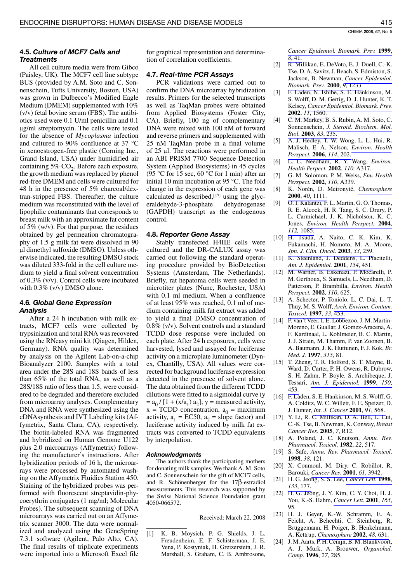# 4.5. Culture of MCF7 Cells and **Treatments**

All cell culture media were from Gibco (Paisley, UK). The MCF7 cell line subtype BUS (provided by A.M. Soto and C. Sonnenschein, Tufts University, Boston, USA) was grown in Dulbecco's Modified Eagle Medium (DMEM) supplemented with 10%  $(v/v)$  fetal bovine serum (FBS). The antibiotics used were 0.1 U/ml penicillin and 0.1 ug/ml streptomycin. The cells were tested for the absence of *Mycoplasma* infection and cultured to 90% confluence at 37 °C in xenoestrogen-free plastic (Corning Inc., Grand Island, USA) under humidified air containing 5% CO<sub>2</sub>. Before each exposure, the growth medium was replaced by phenol red-free DMEM and cells were cultured for 48 h in the presence of 5% charcoal/dextran-stripped FBS. Thereafter, the culture medium was reconstituted with the level of lipophilic contaminants that corresponds to breast milk with an approximate fat content of  $5\%$  (w/v). For that purpose, the residues obtained by gel permeation chromatography of 1.5 g milk fat were dissolved in 90 µl dimethyl sulfoxide (DMSO). Unless otherwise indicated, the resulting DMSO stock was diluted 333-fold in the cell culture medium to yield a final solvent concentration of  $0.3\%$  (v/v). Control cells were incubated with  $0.3\%$  (v/v) DMSO alone.

# 4.6. Global Gene Expression **Analysis**

After a 24 h incubation with milk extracts, MCF7 cells were collected by trypsinization and total RNA was recovered using the RNeasy mini kit (Qiagen, Hilden, Germany). RNA quality was determined by analysis on the Agilent Lab-on-a-chip Bioanalyzer 2100. Samples with a total area under the 28S and 18S bands of less than 65% of the total RNA, as well as a 28S/18S ratio of less than 1.5, were considered to be degraded and therefore excluded from microarray analyses. Complementary DNA and RNA were synthesized using the cDNAsynthesis and IVT Labeling kits (Affymetrix, Santa Clara, CA), respectively. The biotin-labeled RNA was fragmented and hybridized on Human Genome U122 plus 2.0 microarrays (Affymetrix) following the manufacturer's instructions. After hybridization periods of 16 h, the microarrays were processed by automated washing on the Affymetrix Fluidics Station 450. Staining of the hybridized probes was performed with fluorescent streptavidin-phycoerythrin conjugates (1 mg/ml; Molecular Probes). The subsequent scanning of DNA microarrays was carried out on an Affymetrix scanner 3000. The data were normalized and analyzed using the GeneSpring 7.3.1 software (Agilent, Palo Alto, CA). The final results of triplicate experiments were imported into a Microsoft Excel file

for graphical representation and determination of correlation coefficients.

# 4.7. Real-time PCR Assays

PCR validations were carried out to confirm the DNA microarray hybridization results. Primers for the selected transcripts as well as TaqMan probes were obtained from Applied Biosystems (Foster City, CA). Briefly, 100 ng of complementary DNA were mixed with 100 nM of forward and reverse primers and supplemented with 25 nM TaqMan probe in a final volume of  $25$  µl. The reactions were performed in an ABI PRISM 7700 Sequence Detection System (Applied Biosystems) in 45 cycles (95 °C for 15 sec, 60 °C for 1 min) after an initial 10 min incubation at 95 °C. The fold change in the expression of each gene was calculated as described, [47] using the glyceraldehyde-3-phosphate dehydrogenase (GAPDH) transcript as the endogenous control.

# 4.8. Reporter Gene Assay

Stably transfected H4IIE cells were cultured and the DR-CALUX assay was carried out following the standard operating procedure provided by BioDetection Systems (Amsterdam, The Netherlands). Briefly, rat hepatoma cells were seeded in microtiter plates (Nunc, Rochester, USA) with 0.1 ml medium. When a confluence of at least 95% was reached, 0.1 ml of medium containing milk fat extract was added to yield a final DMSO concentration of  $0.8\%$  (v/v). Solvent controls and a standard TCDD dose response were included on each plate. After 24 h exposures, cells were harvested, lysed and assayed for luciferase activity on a microplate luminometer (Dynex, Chantilly, USA). All values were corrected for background luciferase expression detected in the presence of solvent alone. The data obtained from the different TCDD dilutions were fitted to a sigmoidal curve (y  $= a_0 / [1 + (x/a_1) a_2]$ ; y = measured activity,  $x = T CDD$  concentration,  $a_0 = \text{maximum}$ activity,  $a_1 = EC50$ ,  $a_2 = slope$  factor) and luciferase activity induced by milk fat extracts was converted to TCDD equivalents by interpolation.

## **Acknowledgments**

The authors thank the participating mothers for donating milk samples. We thank A. M. Soto and C. Sonnenschein for the gift of MCF7 cells, and R. Schönenberger for the  $17\beta$ -estradiol measurements. This research was supported by the Swiss National Science Foundation grant 4050-066572.

Received: March 22, 2008

 $[1]$ K. B. Moysich, P. G. Shields, J. L. Freudenheim, E. F. Schisterman, J. E. Vena, P. Kostyniak, H. Greizerstein, J. R. Marshall, S. Graham, C. B. Ambrosone,

Cancer Epidemiol. Biomark. Prev. 1999.  $8, 41.$ 

- R. Millikan, E. DeVoto, E. J. Duell, C.-K.  $[2]$ Tse, D. A. Savitz, J. Beach, S. Edmiston, S. Jackson, B. Newman, Cancer Epidemiol. Biomark. Prev. 2000, 9, 1233.
- $\lceil 3 \rceil$ F. Laden, N. Ishibe, S. E. Hankinson, M. S. Wolff, D. M. Gertig, D. J. Hunter, K. T. Kelsey, Cancer Epidemiol. Biomark. Prev. 2002, 11, 1560.
- C. M. Markey, B. S. Rubin, A. M. Soto, C.  $[4]$ Sonnenschein, J. Steroid. Biochem. Mol. Biol. 2003, 83, 235.
- A. J. Hedley, T. W. Wong, L. L. Hui, R.  $[5]$ Malisch, E. A. Nelson, Environ. Health Perspect. 2006, 114, 202.
- L. L. Needham, R. Y. Wang, Environ. [6] Health Perpect. 2002, 110, A317.
- $[7]$ G. M. Solomon, P. M. Weiss, Env. Health Perspect. 2002, 110, A339.
- K. Norén, D. Meironyté, Chemosphere  $[8]$ 2000, 40, 1111.
- O. I. Kalantzi, F. L. Martin, G. O. Thomas, [9] R. E. Alcock, H. R. Tang, S. C. Drury, P. L. Carmichael, J. K. Nicholson, K. C. Jones, Environ. Health Perspect. 2004, 112, 1085.
- [10] H. Tsuda, A. Naito, C. K. Kim, K. Fukamachi, H. Nomoto, M. A. Moore, Jpn. J. Clin. Oncol. 2003, 33, 259.
- [11] K. Steenland, J. Deddens, L. Piacitelli, Am. J. Epidemiol. 2001, 154, 451.
- [12] M. Warner, B. Eskenazi, P. Mocarelli, P. M. Gerthoux, S. Samuels, L. Needham, D. Patterson, P. Brambilla, Environ. Health Perspect. 2002, 110, 625.
- [13] A. Schecter, P. Toniolo, L. C. Dai, L. T. Thuy, M. S. Wolff, Arch. Environ. Contam. Toxicol. 1997, 33, 453.
- [14] P. van't Veer, I. E. Lobbezoo, J. M. Martin-Moreno, E. Guallar, J. Gomez-Aracena, A. E. Kardinaal, L. Kohlmeier, B. C. Martin. J. J. Strain, M. Thamm, P. van Zoonen, B. A. Baumann, J. K. Huttunen, F. J. Kok, Br. Med. J. 1997, 315, 81.
- [15] T. Zheng, T. R. Holford, S. T. Mayne, B. Ward, D. Carter, P. H. Owens, R. Dubrow, S. H. Zahm, P. Boyle, S. Archibeque, J. Tessari, Am. J. Epidemiol. 1999, 150, 453.
- [16] F. Laden, S. E. Hankinson, M. S. Wolff, G. A. Colditz, W. C. Willett, F. E. Speizer, D. J. Hunter, *Int. J. Cancer* 2001, 91, 568.
- [17] Y. Li, R. C. Millikan, D. A. Bell, L. Cui, C.-K. Tse, B. Newman, K. Conway, Breast Cancer Res. 2005, 7, R12.
- [18] A. Poland, J. C. Knutson, Annu. Rev. Pharmacol. Toxicol. 1982, 22, 517.
- [19] S. Safe, Annu. Rev. Pharmacol. Toxicol. 1998, 38, 121.
- [20] X. Coumoul, M. Diry, C. Robillot, R. Barouki, *Cancer Res.* **2001**, 61, 3942.
- [21] H. G. Jeong, S. S. Lee, Cancer Lett. 1998, 133, 177.
- [22] H. G. Jeong, J. Y. Kim, C. Y. Choi, H. J. You, K.-S. Hahm, Cancer Lett. 2001, 165, 95.
- [23] H. J. Geyer, K.-W. Schramm, E. A. Feicht, A. Behechti, C. Steinberg, R. Brüggemann, H. Poiger, B. Henkelmann, A. Kettrup, *Chemosphere* **2002**, 48, 631.
- J. M. Aarts, P. H. Cenijn, B. M. Blankvoort,  $\lceil 24 \rceil$ A. J. Murk, A. Brouwer, Organohal. Comp. 1996, 27, 285.